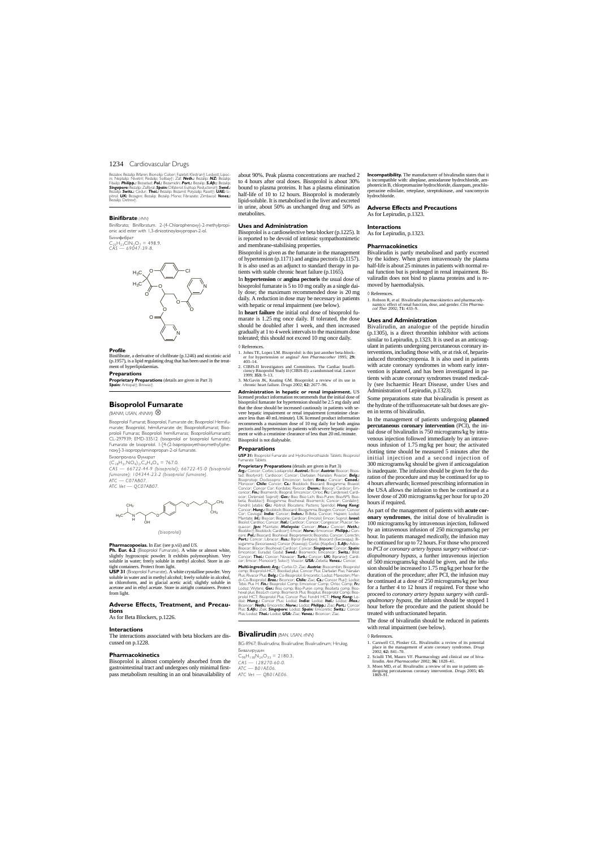# 1234 Cardiovascular Drugs

Bezalex; Bezalip; Bifaren; Bionolip; Colser; Fazebit; Klestran†; Lesbest; Lipoc-<br>in; Neptalip; Nivetril; Redalip; Solibay†; Zaf; **Neth.:** Bezalip; **NZ:** Bezalip;<br>Fibalip; **Philipp.:** Bezastad; **Pol.:** Bezamidin; **Port.:** B **Singapore:** Bezalip; Zafibral; **Spain:** Difaterol; Eulitop; Reducterol†; **Swed.:**<br>Bezalip; **Switz.:** Cedur; Th**ai.:** Bezalip; Bezamii; Polyzalip; Raset†; **UAE:** Li-<br>pitrol; **UK:** Bezagen; Bezalip; Bezalip Mono; Fibrazate; Bezalip; Detrex†.

# **Binifibrate** *(rINN)*

Binifibrato; Binifibratum. 2-(4-Chlorophenoxy)-2-methylpropionic acid ester with 1,3-dinicotinoyloxypropan-2-ol.

Бинифибрат C25H23ClN2O7 = 498.9. *CAS — 69047-39-8.*



#### **Profile**

Binifibrate, a derivative of clofibrate (p.1246) and nicotinic acid (p.1957), is a lipid regulating drug that has been used in the treatment of hyperlipidaemias.

#### **Preparations**

**Proprietary Preparations** (details are given in Part 3) *Spain:* Antopal†; Biniwas†.

# **Bisoprolol Fumarate**

*(BANM, USAN, rINNM)* ⊗

Bisoprolol Fumarat; Bisoprolol, Fumarate de; Bisoprolol Hemifumarate; Bisoprolol, hémifumarate de; Bisoprololfumarat; Bisoprololi Fumaras; Bisoprololi hemifumaras; Bisoprololifumaraatti; CL-297939; EMD-33512 (bisoprolol or bisoprolol fumarate); Fumarato de bisoprolol. 1-[4-(2-Isopropoxyethoxymethyl)phenoxy]-3-isopropylaminopropan-2-ol fumarate.

Бизопролола Фумарат

 $(C_{18}H_{31}NO_4)_2$ ,  $C_4H_4O_4 = 767.0$ . *CAS — 66722-44-9 (bisoprolol); 66722-45-0 (bisoprolol fumarate); 104344-23-2 (bisoprolol fumarate).*  $ATC = 607$ AB07

*ATC Vet — QC07AB07.*



*(bisoprolol)*

**Pharmacopoeias.** In *Eur.* (see p.vii) and *US.*

Ph. Eur. 6.2 (Bisoprolol Fumarate). A white or almost white, slightly hygroscopic powder. It exhibits polymorphism. Very soluble in water; freely soluble in methyl alcohol. Store in airtight containers. Protect from light.

**USP 31** (Bisoprolol Fumarate). A white crystalline powder. Very soluble in water and in methyl alcohol; freely soluble in alcohol, in chloroform, and in glacial acetic acid; slightly soluble in acetone and in ethyl acetate. Store in airtight containers. Protect from light.

## **Adverse Effects, Treatment, and Precautions**

As for Beta Blockers, p.1226.

## **Interactions**

The interactions associated with beta blockers are discussed on p.1228.

# **Pharmacokinetics**

Bisoprolol is almost completely absorbed from the gastrointestinal tract and undergoes only minimal firstpass metabolism resulting in an oral bioavailability of about 90%. Peak plasma concentrations are reached 2 to 4 hours after oral doses. Bisoprolol is about 30% bound to plasma proteins. It has a plasma elimination half-life of 10 to 12 hours. Bisoprolol is moderately lipid-soluble. It is metabolised in the liver and excreted in urine, about 50% as unchanged drug and 50% as metabolites.

# **Uses and Administration**

Bisoprolol is a cardioselective beta blocker (p.1225). It is reported to be devoid of intrinsic sympathomimetic and membrane-stabilising properties.

Bisoprolol is given as the fumarate in the management of hypertension (p.1171) and angina pectoris (p.1157). It is also used as an adjunct to standard therapy in patients with stable chronic heart failure (p.1165).

In **hypertension** or **angina pectoris** the usual dose of bisoprolol fumarate is 5 to 10 mg orally as a single daily dose; the maximum recommended dose is 20 mg daily. A reduction in dose may be necessary in patients with hepatic or renal impairment (see below).

In **heart failure** the initial oral dose of bisoprolol fumarate is 1.25 mg once daily. If tolerated, the dose should be doubled after 1 week, and then increased gradually at 1 to 4 week intervals to the maximum dose tolerated; this should not exceed 10 mg once daily.

#### ◊ References.

- 1. Johns TE, Lopez LM. Bisoprolol: is this just another beta-block-er for hypertension or angina? *Ann Pharmacother* 1995; **29:** 403–14.
- 2. CIBIS-II Investigators and Committees. The Cardiac Insufficiency Bisoprolol Study II (CIBIS-II): a randomised trial. *Lancet* 1999; **353:** 9–13.
- 3. McGavin JK, Keating GM. Bisoprolol: a review of its use in chronic heart failure. *Drugs* 2002; **62:** 2677–96.

**Administration in hepatic or renal impairment.** US licensed product information recommends that the initial dose of bisoprolol fumarate for hypertension should be 2.5 mg daily and that the dose should be increased cautiously in patients with severe hepatic impairment or renal impairment (creatinine clearance less than 40 mL/minute). UK licensed product information recommends a maximum dose of 10 mg daily for both angina pectoris and hypertension in patients with severe hepatic impairment or with a creatinine clearance of less than 20 mL/minute. Bisoprolol is not dialysable.

# **Preparations**

**USP 31:** Bisoprolol Fumarate and Hydrochlorothiazide Tablets; Bisoprolol Fumarate Tablets.

**Proprietary Preparations** (details are given in Part 3)

**Arg.:** Concor; Corbis; Lostaprolol; **Austral.:** Bicor; **Austria:** Bisocor; Bisos-<br>tad; Bisotyrol†; Cardiocor; Concor; Darbalan; Nanalan; Rivacor; **Belg.:**<br>Bisoprotop; Docbisopro; Emconcor; Isoten; **Braz.:** Concor; **Canad.** Concor; Concor Cor; Kordobis; Rivocor; **Denm.:** Bisocor; Cardicor; Em-<br>concor; **Fm.:** Bisomerck; Bisopral; Emconcor; Orloc; **Fr.:** Cardensiel; Cardi-<br>ocor; Detensiel; Soprol†; **Ger.:** Biso; Biso Lich; Biso-Puren; BisoAPS; Fondril; Jutabis; **Gr.:** Abitrol; Blocatens; Pactens; Speridol; **Hong Kong:**<br>Concor; Hung.: Bisoblock; Bisocart; Bisogamma; Bisogen; Concor; Concor<br>Cor; Coviogal; Indici: Concor; Indion: Beleta; Concor; Concor; Concor;<br>Mai sogamma (Бисогамма); Concor (Конкор); Corbis (Корбис); **S.Afr.:** Adco-<br>Bisocor; Bilocor; Bisohexal; Cardicor; Concor; **Singapore:** Concor; **Spain:**<br>Emconcor; Euradal; Godal; **Swed.:** Bisomerck; Emconcor; **Switz.:** Bilol; Concor; *Thai.:* Concor; Novacor; *Turk.:* Concor; *UK:* Bipranix†; Cardicor; Emcor; Monocor†; Soloc†; Vivacor; *USA:* Zebeta; *Venez.:* Concor.

**Multi-ingredient:** *Arg.:* Corbis D; Ziac; *Austria:* Bisocombin; Bisoprolol comp; Bisoprolol-HCT; Bisostad plus; Concor Plus; Darbalan Plus; Nanalan Plus; Rivacor Plus; **Belg.:** Co-Bisoprolol; Emcoretic; Lodoz; Maxsoten; Mer-<br>ck-Co-Bisoprolol; **Braz.:** Biconcor; **Chile:** Ziac; **Cz.:** Concor Plus†; Lodoz;<br>Tebis Plus H; **Fin:** Bisoprolol Comp; Biso-Puren comp; Diroc Comp hexal plus; BisoLich comp; Bisomerck Plus; Bisoplus; Bisoprolol Comp; Biso-<br>prolol HCT; Bisoprolol Plus; Concor Plus; Fondril HCT; **Hong Kong:** Lo-<br>doz; **Hung**: Concor Plus; Lodoz; **India:** Lodoz; **Ital.: Lodoz; Mex.:**<br>Bic

# **Bivalirudin** *(BAN, USAN, rINN)*

BG-8967; Bivalirudina; Bivalirudine; Bivalirudinum; Hirulog. Бивалирудин

- $C_{98}H_{138}N_{24}O_{33} = 2180.3.$
- *CAS 128270-60-0.*
- *ATC B01AE06.*
- *ATC Vet QB01AE06.*

**Incompatibility.** The manufacturer of bivalirudin states that it is incompatible with: alteplase, amiodarone hydrochloride, amphotericin B, chlorpromazine hydrochloride, diazepam, prochlorperazine edisilate, reteplase, streptokinase, and vancomycin hydrochloride.

#### **Adverse Effects and Precautions**

As for Lepirudin, p.1323.

# **Interactions**

As for Lepirudin, p.1323.

#### **Pharmacokinetics**

Bivalirudin is partly metabolised and partly excreted by the kidney. When given intravenously the plasma half-life is about 25 minutes in patients with normal renal function but is prolonged in renal impairment. Bivalirudin does not bind to plasma proteins and is removed by haemodialysis.

#### ◊ References.

1. Robson R, *et al.* Bivalirudin pharmacokinetics and pharmacodynamics: effect of renal function, dose, and gender. *Clin Pharma-col Ther* 2002; **71:** 433–9.

# **Uses and Administration**

Bivalirudin, an analogue of the peptide hirudin (p.1305), is a direct thrombin inhibitor with actions similar to Lepirudin, p.1323. It is used as an anticoagulant in patients undergoing percutaneous coronary interventions, including those with, or at risk of, heparininduced thrombocytopenia. It is also used in patients with acute coronary syndromes in whom early intervention is planned, and has been investigated in patients with acute coronary syndromes treated medically (see Ischaemic Heart Disease, under Uses and Administration of Lepirudin, p.1323).

Some preparations state that bivalirudin is present as the hydrate of the trifluoroacetate salt but doses are given in terms of bivalirudin.

In the management of patients undergoing **planned percutaneous coronary intervention** (PCI), the initial dose of bivalirudin is 750 micrograms/kg by intravenous injection followed immediately by an intravenous infusion of 1.75 mg/kg per hour; the activated clotting time should be measured 5 minutes after the initial injection and a second injection of 300 micrograms/kg should be given if anticoagulation is inadequate. The infusion should be given for the duration of the procedure and may be continued for up to 4 hours afterwards; licensed prescribing information in the USA allows the infusion to then be continued at a lower dose of 200 micrograms/kg per hour for up to 20 hours if required.

As part of the management of patients with **acute coronary syndromes**, the initial dose of bivalirudin is 100 micrograms/kg by intravenous injection, followed by an intravenous infusion of 250 micrograms/kg per hour. In patients managed *medically*, the infusion may be continued for up to 72 hours. For those who proceed to *PCI or coronary artery bypass surgery without cardiopulmonary bypass*, a further intravenous injection of 500 micrograms/kg should be given, and the infusion should be increased to 1.75 mg/kg per hour for the duration of the procedure; after PCI, the infusion may be continued at a dose of 250 micrograms/kg per hour for a further 4 to 12 hours if required. For those who proceed to *coronary artery bypass surgery with cardiopulmonary bypass*, the infusion should be stopped 1 hour before the procedure and the patient should be treated with unfractionated heparin.

The dose of bivalirudin should be reduced in patients with renal impairment (see below).

#### ◊ References.

- 1. Carswell CI, Plosker GL. Bivalirudin: a review of its potential place in the management of acute coronary syndromes. *Drugs* 2002; **62:** 841–70.
- 2. Sciulli TM, Mauro VF. Pharmacology and clinical use of biva-lirudin. *Ann Pharmacother* 2002; **36:** 1028–41.
- 3. Moen MD, *et al.* Bivalirudin: a review of its use in patients un-dergoing percutaneous coronary intervention. *Drugs* 2005; **65:** 1869–91.